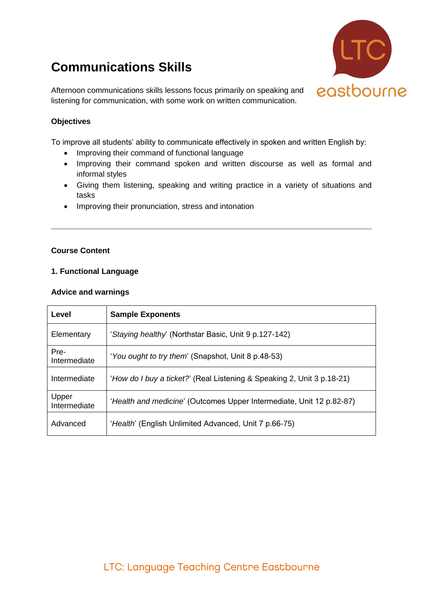# **Communications Skills**



Afternoon communications skills lessons focus primarily on speaking and listening for communication, with some work on written communication.

## **Objectives**

To improve all students' ability to communicate effectively in spoken and written English by:

- Improving their command of functional language
- Improving their command spoken and written discourse as well as formal and informal styles
- Giving them listening, speaking and writing practice in a variety of situations and tasks
- Improving their pronunciation, stress and intonation

### **Course Content**

### **1. Functional Language**

#### **Advice and warnings**

| Level                 | <b>Sample Exponents</b>                                                |
|-----------------------|------------------------------------------------------------------------|
| Elementary            | 'Staying healthy' (Northstar Basic, Unit 9 p.127-142)                  |
| Pre-<br>Intermediate  | 'You ought to try them' (Snapshot, Unit 8 p.48-53)                     |
| Intermediate          | 'How do I buy a ticket?' (Real Listening & Speaking 2, Unit 3 p.18-21) |
| Upper<br>Intermediate | 'Health and medicine' (Outcomes Upper Intermediate, Unit 12 p.82-87)   |
| Advanced              | 'Health' (English Unlimited Advanced, Unit 7 p.66-75)                  |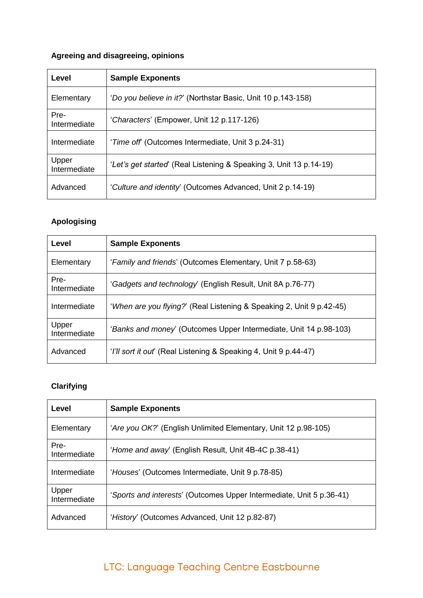# **Agreeing and disagreeing, opinions**

| Level                 | <b>Sample Exponents</b>                                            |
|-----------------------|--------------------------------------------------------------------|
| Elementary            | 'Do you believe in it?' (Northstar Basic, Unit 10 p.143-158)       |
| Pre-<br>Intermediate  | 'Characters' (Empower, Unit 12 p.117-126)                          |
| Intermediate          | ' <i>Time off</i> (Outcomes Intermediate, Unit 3 p.24-31)          |
| Upper<br>Intermediate | 'Let's get started' (Real Listening & Speaking 3, Unit 13 p.14-19) |
| Advanced              | 'Culture and identity' (Outcomes Advanced, Unit 2 p.14-19)         |

## **Apologising**

| Level                 | <b>Sample Exponents</b>                                              |
|-----------------------|----------------------------------------------------------------------|
| Elementary            | 'Family and friends' (Outcomes Elementary, Unit 7 p.58-63)           |
| Pre-<br>Intermediate  | 'Gadgets and technology' (English Result, Unit 8A p.76-77)           |
| Intermediate          | 'When are you flying?' (Real Listening & Speaking 2, Unit 9 p.42-45) |
| Upper<br>Intermediate | 'Banks and money' (Outcomes Upper Intermediate, Unit 14 p.98-103)    |
| Advanced              | 'I'll sort it out' (Real Listening & Speaking 4, Unit 9 p.44-47)     |

# **Clarifying**

| Level                 | <b>Sample Exponents</b>                                              |
|-----------------------|----------------------------------------------------------------------|
| Elementary            | 'Are you OK?' (English Unlimited Elementary, Unit 12 p.98-105)       |
| Pre-<br>Intermediate  | 'Home and away' (English Result, Unit 4B-4C p.38-41)                 |
| Intermediate          | 'Houses' (Outcomes Intermediate, Unit 9 p.78-85)                     |
| Upper<br>Intermediate | 'Sports and interests' (Outcomes Upper Intermediate, Unit 5 p.36-41) |
| Advanced              | 'History' (Outcomes Advanced, Unit 12 p.82-87)                       |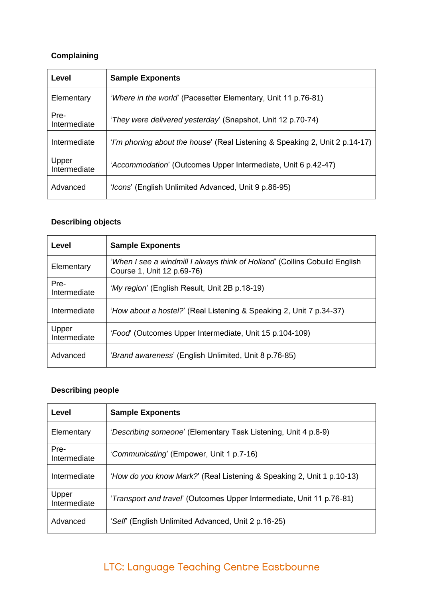# **Complaining**

| Level                 | <b>Sample Exponents</b>                                                     |
|-----------------------|-----------------------------------------------------------------------------|
| Elementary            | 'Where in the world' (Pacesetter Elementary, Unit 11 p.76-81)               |
| Pre-<br>Intermediate  | 'They were delivered yesterday' (Snapshot, Unit 12 p.70-74)                 |
| Intermediate          | 'I'm phoning about the house' (Real Listening & Speaking 2, Unit 2 p.14-17) |
| Upper<br>Intermediate | 'Accommodation' (Outcomes Upper Intermediate, Unit 6 p.42-47)               |
| Advanced              | 'Icons' (English Unlimited Advanced, Unit 9 p.86-95)                        |

# **Describing objects**

| Level                 | <b>Sample Exponents</b>                                                                                  |
|-----------------------|----------------------------------------------------------------------------------------------------------|
| Elementary            | 'When I see a windmill I always think of Holland' (Collins Cobuild English<br>Course 1, Unit 12 p.69-76) |
| Pre-<br>Intermediate  | 'My region' (English Result, Unit 2B p.18-19)                                                            |
| Intermediate          | 'How about a hostel?' (Real Listening & Speaking 2, Unit 7 p.34-37)                                      |
| Upper<br>Intermediate | 'Food' (Outcomes Upper Intermediate, Unit 15 p.104-109)                                                  |
| Advanced              | 'Brand awareness' (English Unlimited, Unit 8 p.76-85)                                                    |

# **Describing people**

| Level                 | <b>Sample Exponents</b>                                               |
|-----------------------|-----------------------------------------------------------------------|
| Elementary            | 'Describing someone' (Elementary Task Listening, Unit 4 p.8-9)        |
| Pre-<br>Intermediate  | 'Communicating' (Empower, Unit 1 p.7-16)                              |
| Intermediate          | 'How do you know Mark?' (Real Listening & Speaking 2, Unit 1 p.10-13) |
| Upper<br>Intermediate | 'Transport and travel' (Outcomes Upper Intermediate, Unit 11 p.76-81) |
| Advanced              | 'Self (English Unlimited Advanced, Unit 2 p.16-25)                    |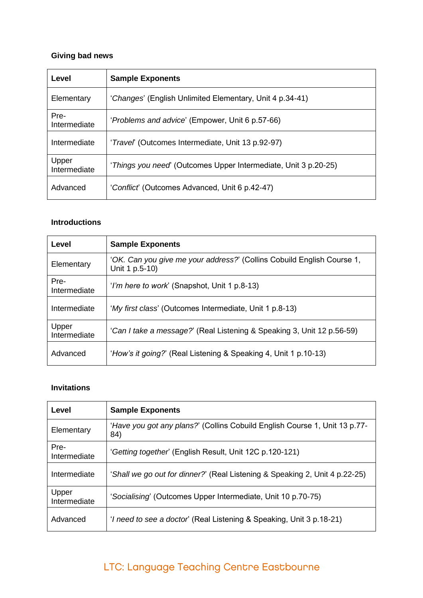# **Giving bad news**

| Level                 | <b>Sample Exponents</b>                                         |
|-----------------------|-----------------------------------------------------------------|
| Elementary            | 'Changes' (English Unlimited Elementary, Unit 4 p.34-41)        |
| Pre-<br>Intermediate  | 'Problems and advice' (Empower, Unit 6 p.57-66)                 |
| Intermediate          | 'Travel' (Outcomes Intermediate, Unit 13 p.92-97)               |
| Upper<br>Intermediate | 'Things you need' (Outcomes Upper Intermediate, Unit 3 p.20-25) |
| Advanced              | 'Conflict' (Outcomes Advanced, Unit 6 p.42-47)                  |

### **Introductions**

| Level                 | <b>Sample Exponents</b>                                                                  |
|-----------------------|------------------------------------------------------------------------------------------|
| Elementary            | 'OK. Can you give me your address?' (Collins Cobuild English Course 1,<br>Unit 1 p.5-10) |
| Pre-<br>Intermediate  | 'I'm here to work' (Snapshot, Unit 1 p.8-13)                                             |
| Intermediate          | 'My first class' (Outcomes Intermediate, Unit 1 p.8-13)                                  |
| Upper<br>Intermediate | 'Can I take a message?' (Real Listening & Speaking 3, Unit 12 p.56-59)                   |
| Advanced              | 'How's it going?' (Real Listening & Speaking 4, Unit 1 p.10-13)                          |

## **Invitations**

| Level                 | <b>Sample Exponents</b>                                                           |
|-----------------------|-----------------------------------------------------------------------------------|
| Elementary            | 'Have you got any plans?' (Collins Cobuild English Course 1, Unit 13 p.77-<br>84) |
| Pre-<br>Intermediate  | 'Getting together' (English Result, Unit 12C p.120-121)                           |
| Intermediate          | 'Shall we go out for dinner?' (Real Listening & Speaking 2, Unit 4 p.22-25)       |
| Upper<br>Intermediate | 'Socialising' (Outcomes Upper Intermediate, Unit 10 p.70-75)                      |
| Advanced              | ' <i>I need to see a doctor</i> ' (Real Listening & Speaking, Unit 3 p.18-21)     |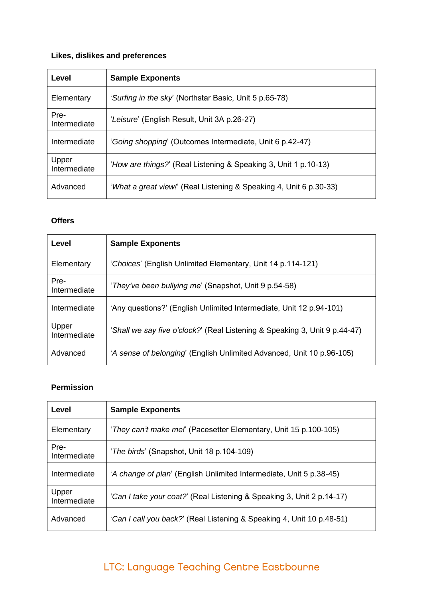# **Likes, dislikes and preferences**

| Level                 | <b>Sample Exponents</b>                                            |
|-----------------------|--------------------------------------------------------------------|
| Elementary            | 'Surfing in the sky' (Northstar Basic, Unit 5 p.65-78)             |
| Pre-<br>Intermediate  | 'Leisure' (English Result, Unit 3A p.26-27)                        |
| Intermediate          | 'Going shopping' (Outcomes Intermediate, Unit 6 p.42-47)           |
| Upper<br>Intermediate | 'How are things?' (Real Listening & Speaking 3, Unit 1 p.10-13)    |
| Advanced              | 'What a great view!' (Real Listening & Speaking 4, Unit 6 p.30-33) |

## **Offers**

| Level                 | <b>Sample Exponents</b>                                                    |
|-----------------------|----------------------------------------------------------------------------|
| Elementary            | 'Choices' (English Unlimited Elementary, Unit 14 p.114-121)                |
| Pre-<br>Intermediate  | 'They've been bullying me' (Snapshot, Unit 9 p.54-58)                      |
| Intermediate          | 'Any questions?' (English Unlimited Intermediate, Unit 12 p.94-101)        |
| Upper<br>Intermediate | 'Shall we say five o'clock?' (Real Listening & Speaking 3, Unit 9 p.44-47) |
| Advanced              | 'A sense of belonging' (English Unlimited Advanced, Unit 10 p.96-105)      |

## **Permission**

| Level                 | <b>Sample Exponents</b>                                               |
|-----------------------|-----------------------------------------------------------------------|
| Elementary            | 'They can't make me!' (Pacesetter Elementary, Unit 15 p.100-105)      |
| Pre-<br>Intermediate  | ' <i>The birds'</i> (Snapshot, Unit 18 p.104-109)                     |
| Intermediate          | 'A change of plan' (English Unlimited Intermediate, Unit 5 p.38-45)   |
| Upper<br>Intermediate | 'Can I take your coat?' (Real Listening & Speaking 3, Unit 2 p.14-17) |
| Advanced              | 'Can I call you back?' (Real Listening & Speaking 4, Unit 10 p.48-51) |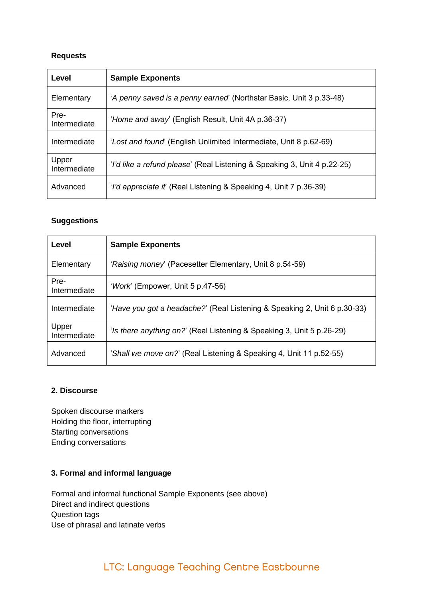## **Requests**

| Level                 | <b>Sample Exponents</b>                                                   |
|-----------------------|---------------------------------------------------------------------------|
| Elementary            | 'A penny saved is a penny earned' (Northstar Basic, Unit 3 p.33-48)       |
| Pre-<br>Intermediate  | 'Home and away' (English Result, Unit 4A p.36-37)                         |
| Intermediate          | 'Lost and found' (English Unlimited Intermediate, Unit 8 p.62-69)         |
| Upper<br>Intermediate | 'I'd like a refund please' (Real Listening & Speaking 3, Unit 4 p.22-25)  |
| Advanced              | ' <i>I'd appreciate it'</i> (Real Listening & Speaking 4, Unit 7 p.36-39) |

### **Suggestions**

| Level                 | <b>Sample Exponents</b>                                                  |
|-----------------------|--------------------------------------------------------------------------|
| Elementary            | 'Raising money' (Pacesetter Elementary, Unit 8 p.54-59)                  |
| Pre-<br>Intermediate  | 'Work' (Empower, Unit 5 p.47-56)                                         |
| Intermediate          | 'Have you got a headache?' (Real Listening & Speaking 2, Unit 6 p.30-33) |
| Upper<br>Intermediate | 'Is there anything on?' (Real Listening & Speaking 3, Unit 5 p.26-29)    |
| Advanced              | 'Shall we move on?' (Real Listening & Speaking 4, Unit 11 p.52-55)       |

### **2. Discourse**

Spoken discourse markers Holding the floor, interrupting Starting conversations Ending conversations

## **3. Formal and informal language**

Formal and informal functional Sample Exponents (see above) Direct and indirect questions Question tags Use of phrasal and latinate verbs